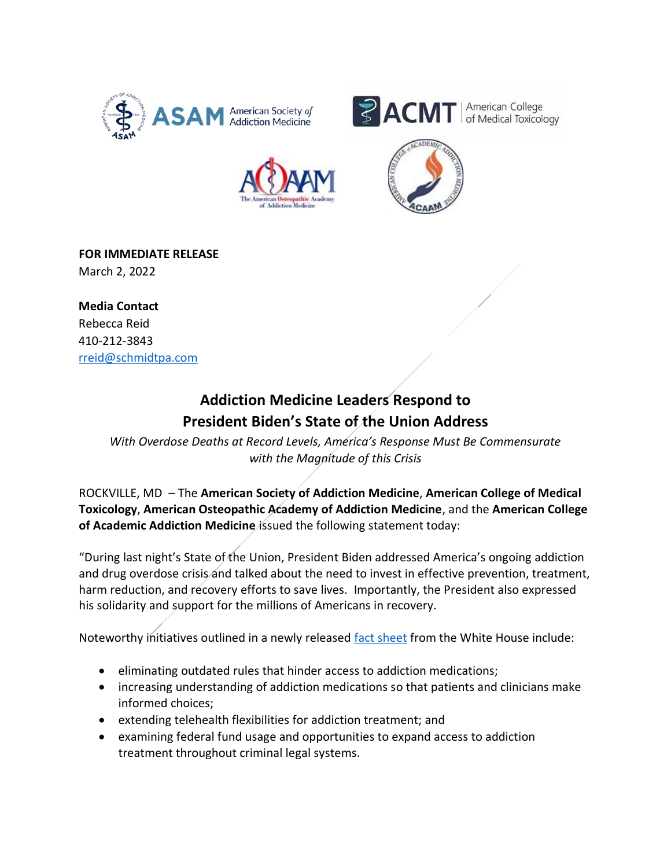







**FOR IMMEDIATE RELEASE**  March 2, 2022

**Media Contact**  Rebecca Reid 410-212-3843 rreid@schmidtpa.com

## **Addiction Medicine Leaders Respond to President Biden's State of the Union Address**

*With Overdose Deaths at Record Levels, America's Response Must Be Commensurate with the Magnitude of this Crisis*

ROCKVILLE, MD – The **American Society of Addiction Medicine**, **American College of Medical Toxicology**, **American Osteopathic Academy of Addiction Medicine**, and the **American College of Academic Addiction Medicine** issued the following statement today:

"During last night's State of the Union, President Biden addressed America's ongoing addiction and drug overdose crisis and talked about the need to invest in effective prevention, treatment, harm reduction, and recovery efforts to save lives. Importantly, the President also expressed his solidarity and support for the millions of Americans in recovery.

Noteworthy initiatives outlined in a newly released [fact sheet](https://www.whitehouse.gov/briefing-room/statements-releases/2022/03/01/fact-sheet-addressing-addiction-and-the-overdose-epidemic/) from the White House include:

- eliminating outdated rules that hinder access to addiction medications;
- increasing understanding of addiction medications so that patients and clinicians make informed choices;
- extending telehealth flexibilities for addiction treatment; and
- examining federal fund usage and opportunities to expand access to addiction treatment throughout criminal legal systems.